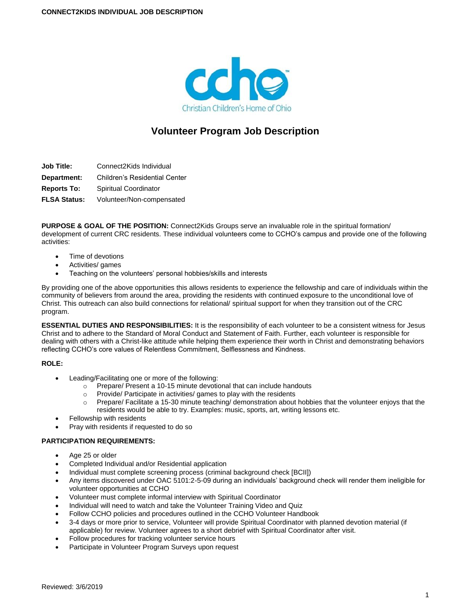

# **Volunteer Program Job Description**

**Job Title:** Connect2Kids Individual

**Department:** Children's Residential Center

**Reports To:** Spiritual Coordinator

**FLSA Status:** Volunteer/Non-compensated

**PURPOSE & GOAL OF THE POSITION:** Connect2Kids Groups serve an invaluable role in the spiritual formation/ development of current CRC residents. These individual volunteers come to CCHO's campus and provide one of the following activities:

- Time of devotions
- Activities/ games
- Teaching on the volunteers' personal hobbies/skills and interests

By providing one of the above opportunities this allows residents to experience the fellowship and care of individuals within the community of believers from around the area, providing the residents with continued exposure to the unconditional love of Christ. This outreach can also build connections for relational/ spiritual support for when they transition out of the CRC program.

**ESSENTIAL DUTIES AND RESPONSIBILITIES:** It is the responsibility of each volunteer to be a consistent witness for Jesus Christ and to adhere to the Standard of Moral Conduct and Statement of Faith. Further, each volunteer is responsible for dealing with others with a Christ-like attitude while helping them experience their worth in Christ and demonstrating behaviors reflecting CCHO's core values of Relentless Commitment, Selflessness and Kindness.

### **ROLE:**

- Leading/Facilitating one or more of the following:
	- $\circ$  Prepare/ Present a 10-15 minute devotional that can include handouts
	- o Provide/ Participate in activities/ games to play with the residents
	- $\circ$  Prepare/ Facilitate a 15-30 minute teaching/ demonstration about hobbies that the volunteer enjoys that the residents would be able to try. Examples: music, sports, art, writing lessons etc.
- Fellowship with residents
- Pray with residents if requested to do so

### **PARTICIPATION REQUIREMENTS:**

- Age 25 or older
- Completed Individual and/or Residential application
- Individual must complete screening process (criminal background check [BCII])
- Any items discovered under OAC 5101:2-5-09 during an individuals' background check will render them ineligible for volunteer opportunities at CCHO
- Volunteer must complete informal interview with Spiritual Coordinator
- Individual will need to watch and take the Volunteer Training Video and Quiz
- Follow CCHO policies and procedures outlined in the CCHO Volunteer Handbook
- 3-4 days or more prior to service, Volunteer will provide Spiritual Coordinator with planned devotion material (if applicable) for review. Volunteer agrees to a short debrief with Spiritual Coordinator after visit.
- Follow procedures for tracking volunteer service hours
- Participate in Volunteer Program Surveys upon request